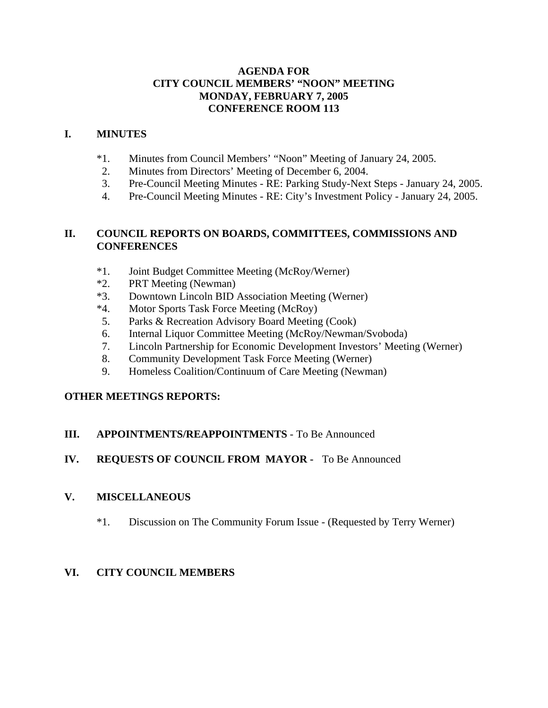## **AGENDA FOR CITY COUNCIL MEMBERS' "NOON" MEETING MONDAY, FEBRUARY 7, 2005 CONFERENCE ROOM 113**

#### **I. MINUTES**

- \*1. Minutes from Council Members' "Noon" Meeting of January 24, 2005.
- 2. Minutes from Directors' Meeting of December 6, 2004.
- 3. Pre-Council Meeting Minutes RE: Parking Study-Next Steps January 24, 2005.
- 4. Pre-Council Meeting Minutes RE: City's Investment Policy January 24, 2005.

#### **II. COUNCIL REPORTS ON BOARDS, COMMITTEES, COMMISSIONS AND CONFERENCES**

- \*1. Joint Budget Committee Meeting (McRoy/Werner)
- \*2. PRT Meeting (Newman)
- \*3. Downtown Lincoln BID Association Meeting (Werner)
- \*4. Motor Sports Task Force Meeting (McRoy)
- 5. Parks & Recreation Advisory Board Meeting (Cook)
- 6. Internal Liquor Committee Meeting (McRoy/Newman/Svoboda)
- 7. Lincoln Partnership for Economic Development Investors' Meeting (Werner)
- 8. Community Development Task Force Meeting (Werner)
- 9. Homeless Coalition/Continuum of Care Meeting (Newman)

## **OTHER MEETINGS REPORTS:**

## **III. APPOINTMENTS/REAPPOINTMENTS** - To Be Announced

## **IV. REQUESTS OF COUNCIL FROM MAYOR -** To Be Announced

#### **V. MISCELLANEOUS**

\*1. Discussion on The Community Forum Issue - (Requested by Terry Werner)

## **VI. CITY COUNCIL MEMBERS**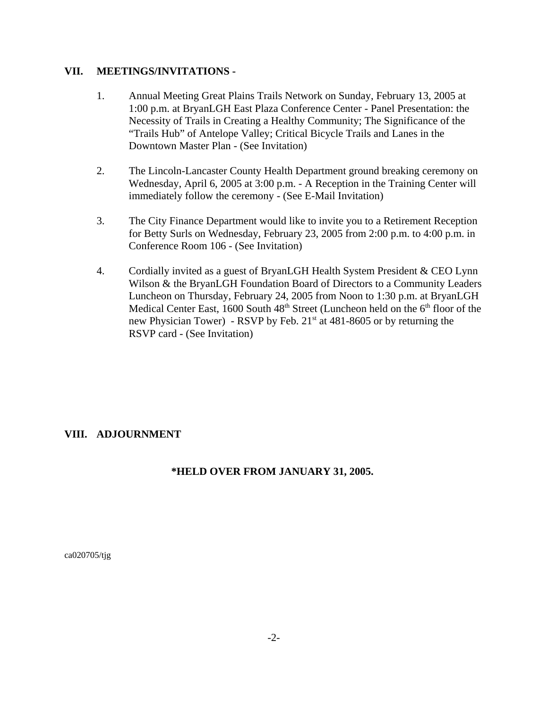#### **VII. MEETINGS/INVITATIONS -**

- 1. Annual Meeting Great Plains Trails Network on Sunday, February 13, 2005 at 1:00 p.m. at BryanLGH East Plaza Conference Center - Panel Presentation: the Necessity of Trails in Creating a Healthy Community; The Significance of the "Trails Hub" of Antelope Valley; Critical Bicycle Trails and Lanes in the Downtown Master Plan - (See Invitation)
- 2. The Lincoln-Lancaster County Health Department ground breaking ceremony on Wednesday, April 6, 2005 at 3:00 p.m. - A Reception in the Training Center will immediately follow the ceremony - (See E-Mail Invitation)
- 3. The City Finance Department would like to invite you to a Retirement Reception for Betty Surls on Wednesday, February 23, 2005 from 2:00 p.m. to 4:00 p.m. in Conference Room 106 - (See Invitation)
- 4. Cordially invited as a guest of BryanLGH Health System President & CEO Lynn Wilson & the BryanLGH Foundation Board of Directors to a Community Leaders Luncheon on Thursday, February 24, 2005 from Noon to 1:30 p.m. at BryanLGH Medical Center East, 1600 South  $48<sup>th</sup>$  Street (Luncheon held on the  $6<sup>th</sup>$  floor of the new Physician Tower) - RSVP by Feb.  $21^{st}$  at 481-8605 or by returning the RSVP card - (See Invitation)

## **VIII. ADJOURNMENT**

## **\*HELD OVER FROM JANUARY 31, 2005.**

ca020705/tjg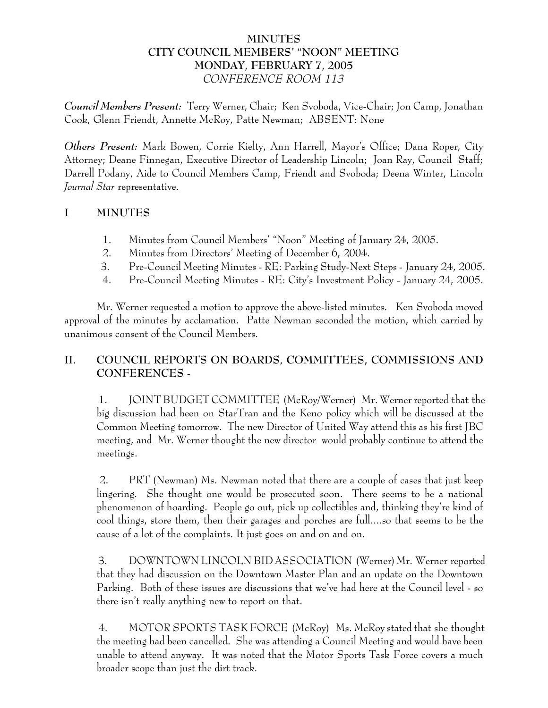## **MINUTES CITY COUNCIL MEMBERS' "NOON" MEETING MONDAY, FEBRUARY 7, 2005** *CONFERENCE ROOM 113*

*Council Members Present:* Terry Werner, Chair; Ken Svoboda, Vice-Chair; Jon Camp, Jonathan Cook, Glenn Friendt, Annette McRoy, Patte Newman; ABSENT: None

*Others Present:* Mark Bowen, Corrie Kielty, Ann Harrell, Mayor's Office; Dana Roper, City Attorney; Deane Finnegan, Executive Director of Leadership Lincoln; Joan Ray, Council Staff; Darrell Podany, Aide to Council Members Camp, Friendt and Svoboda; Deena Winter, Lincoln *Journal Star* representative.

# **I MINUTES**

- 1. Minutes from Council Members' "Noon" Meeting of January 24, 2005.
- 2. Minutes from Directors' Meeting of December 6, 2004.
- 3. Pre-Council Meeting Minutes RE: Parking Study-Next Steps January 24, 2005.
- 4. Pre-Council Meeting Minutes RE: City's Investment Policy January 24, 2005.

Mr. Werner requested a motion to approve the above-listed minutes. Ken Svoboda moved approval of the minutes by acclamation. Patte Newman seconded the motion, which carried by unanimous consent of the Council Members.

# **II. COUNCIL REPORTS ON BOARDS, COMMITTEES, COMMISSIONS AND CONFERENCES -**

 1. JOINT BUDGET COMMITTEE (McRoy/Werner) Mr. Werner reported that the big discussion had been on StarTran and the Keno policy which will be discussed at the Common Meeting tomorrow. The new Director of United Way attend this as his first JBC meeting, and Mr. Werner thought the new director would probably continue to attend the meetings.

 2. PRT (Newman) Ms. Newman noted that there are a couple of cases that just keep lingering. She thought one would be prosecuted soon. There seems to be a national phenomenon of hoarding. People go out, pick up collectibles and, thinking they're kind of cool things, store them, then their garages and porches are full....so that seems to be the cause of a lot of the complaints. It just goes on and on and on.

 3. DOWNTOWN LINCOLN BID ASSOCIATION (Werner) Mr. Werner reported that they had discussion on the Downtown Master Plan and an update on the Downtown Parking. Both of these issues are discussions that we've had here at the Council level - so there isn't really anything new to report on that.

 4. MOTOR SPORTS TASK FORCE (McRoy) Ms. McRoy stated that she thought the meeting had been cancelled. She was attending a Council Meeting and would have been unable to attend anyway. It was noted that the Motor Sports Task Force covers a much broader scope than just the dirt track.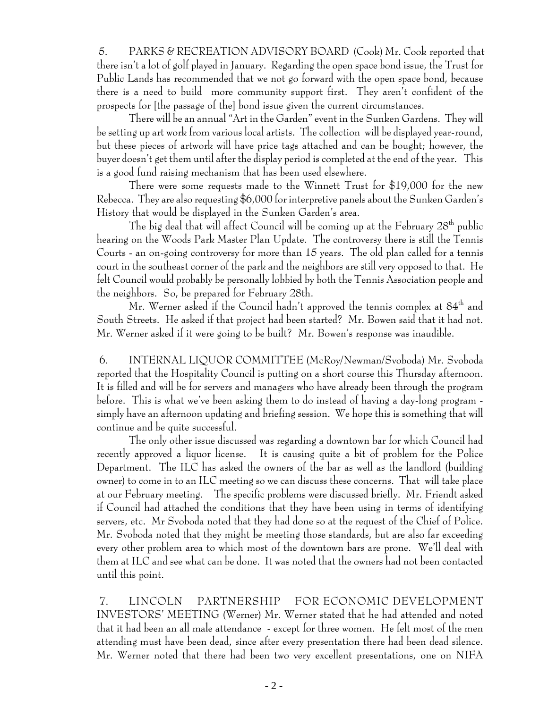5. PARKS & RECREATION ADVISORY BOARD (Cook) Mr. Cook reported that there isn't a lot of golf played in January. Regarding the open space bond issue, the Trust for Public Lands has recommended that we not go forward with the open space bond, because there is a need to build more community support first. They aren't confident of the prospects for [the passage of the] bond issue given the current circumstances.

There will be an annual "Art in the Garden" event in the Sunken Gardens. They will be setting up art work from various local artists. The collection will be displayed year-round, but these pieces of artwork will have price tags attached and can be bought; however, the buyer doesn't get them until after the display period is completed at the end of the year. This is a good fund raising mechanism that has been used elsewhere.

There were some requests made to the Winnett Trust for \$19,000 for the new Rebecca. They are also requesting \$6,000 for interpretive panels about the Sunken Garden's History that would be displayed in the Sunken Garden's area.

The big deal that will affect Council will be coming up at the February  $28<sup>th</sup>$  public hearing on the Woods Park Master Plan Update. The controversy there is still the Tennis Courts - an on-going controversy for more than 15 years. The old plan called for a tennis court in the southeast corner of the park and the neighbors are still very opposed to that. He felt Council would probably be personally lobbied by both the Tennis Association people and the neighbors. So, be prepared for February 28th.

Mr. Werner asked if the Council hadn't approved the tennis complex at  $84<sup>th</sup>$  and South Streets. He asked if that project had been started? Mr. Bowen said that it had not. Mr. Werner asked if it were going to be built? Mr. Bowen's response was inaudible.

 6. INTERNAL LIQUOR COMMITTEE (McRoy/Newman/Svoboda) Mr. Svoboda reported that the Hospitality Council is putting on a short course this Thursday afternoon. It is filled and will be for servers and managers who have already been through the program before. This is what we've been asking them to do instead of having a day-long program simply have an afternoon updating and briefing session. We hope this is something that will continue and be quite successful.

The only other issue discussed was regarding a downtown bar for which Council had recently approved a liquor license. It is causing quite a bit of problem for the Police Department. The ILC has asked the owners of the bar as well as the landlord (building owner) to come in to an ILC meeting so we can discuss these concerns. That will take place at our February meeting. The specific problems were discussed briefly. Mr. Friendt asked if Council had attached the conditions that they have been using in terms of identifying servers, etc. Mr Svoboda noted that they had done so at the request of the Chief of Police. Mr. Svoboda noted that they might be meeting those standards, but are also far exceeding every other problem area to which most of the downtown bars are prone. We'll deal with them at ILC and see what can be done. It was noted that the owners had not been contacted until this point.

 7. LINCOLN PARTNERSHIP FOR ECONOMIC DEVELOPMENT INVESTORS' MEETING (Werner) Mr. Werner stated that he had attended and noted that it had been an all male attendance - except for three women. He felt most of the men attending must have been dead, since after every presentation there had been dead silence. Mr. Werner noted that there had been two very excellent presentations, one on NIFA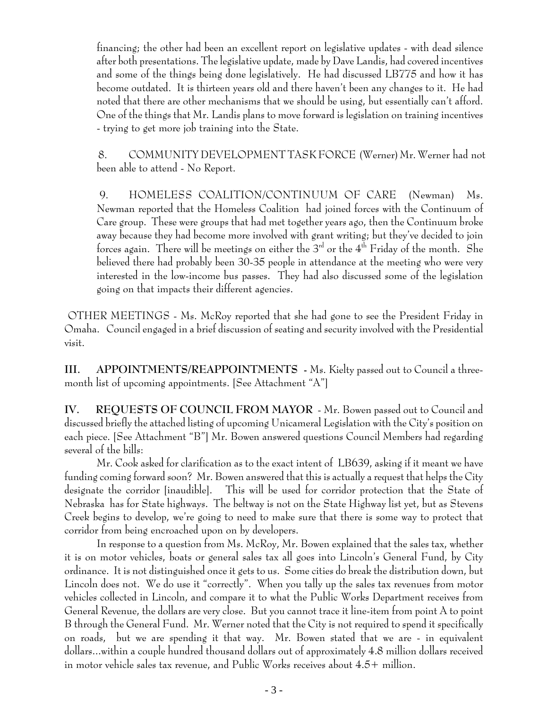financing; the other had been an excellent report on legislative updates - with dead silence after both presentations. The legislative update, made by Dave Landis, had covered incentives and some of the things being done legislatively. He had discussed LB775 and how it has become outdated. It is thirteen years old and there haven't been any changes to it. He had noted that there are other mechanisms that we should be using, but essentially can't afford. One of the things that Mr. Landis plans to move forward is legislation on training incentives - trying to get more job training into the State.

 8. COMMUNITY DEVELOPMENT TASK FORCE (Werner) Mr. Werner had not been able to attend - No Report.

 9. HOMELESS COALITION/CONTINUUM OF CARE (Newman) Ms. Newman reported that the Homeless Coalition had joined forces with the Continuum of Care group. These were groups that had met together years ago, then the Continuum broke away because they had become more involved with grant writing; but they've decided to join forces again. There will be meetings on either the  $3<sup>rd</sup>$  or the  $4<sup>th</sup>$  Friday of the month. She believed there had probably been 30-35 people in attendance at the meeting who were very interested in the low-income bus passes. They had also discussed some of the legislation going on that impacts their different agencies.

 OTHER MEETINGS - Ms. McRoy reported that she had gone to see the President Friday in Omaha. Council engaged in a brief discussion of seating and security involved with the Presidential visit.

**III. APPOINTMENTS/REAPPOINTMENTS -** Ms. Kielty passed out to Council a threemonth list of upcoming appointments. [See Attachment "A"]

**IV. REQUESTS OF COUNCIL FROM MAYOR** - Mr. Bowen passed out to Council and discussed briefly the attached listing of upcoming Unicameral Legislation with the City's position on each piece. [See Attachment "B"] Mr. Bowen answered questions Council Members had regarding several of the bills:

Mr. Cook asked for clarification as to the exact intent of LB639, asking if it meant we have funding coming forward soon? Mr. Bowen answered that this is actually a request that helps the City designate the corridor [inaudible]. This will be used for corridor protection that the State of Nebraska has for State highways. The beltway is not on the State Highway list yet, but as Stevens Creek begins to develop, we're going to need to make sure that there is some way to protect that corridor from being encroached upon on by developers.

In response to a question from Ms. McRoy, Mr. Bowen explained that the sales tax, whether it is on motor vehicles, boats or general sales tax all goes into Lincoln's General Fund, by City ordinance. It is not distinguished once it gets to us. Some cities do break the distribution down, but Lincoln does not. We do use it "correctly". When you tally up the sales tax revenues from motor vehicles collected in Lincoln, and compare it to what the Public Works Department receives from General Revenue, the dollars are very close. But you cannot trace it line-item from point A to point B through the General Fund. Mr. Werner noted that the City is not required to spend it specifically on roads, but we are spending it that way. Mr. Bowen stated that we are - in equivalent dollars...within a couple hundred thousand dollars out of approximately 4.8 million dollars received in motor vehicle sales tax revenue, and Public Works receives about 4.5+ million.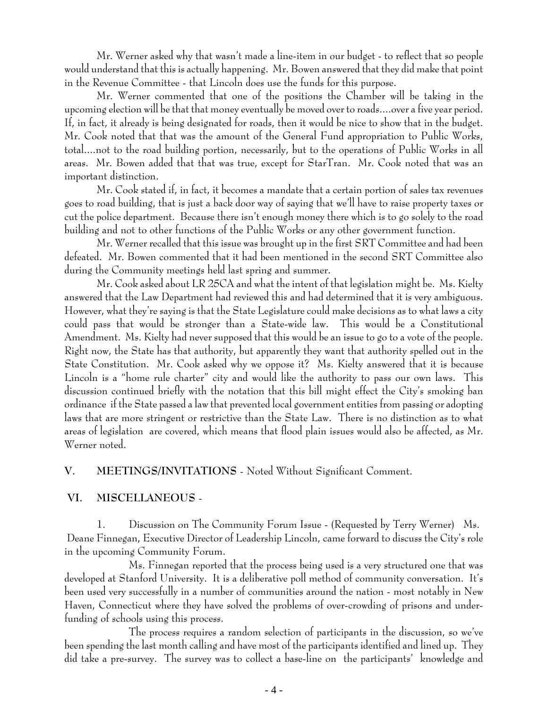Mr. Werner asked why that wasn't made a line-item in our budget - to reflect that so people would understand that this is actually happening. Mr. Bowen answered that they did make that point in the Revenue Committee - that Lincoln does use the funds for this purpose.

Mr. Werner commented that one of the positions the Chamber will be taking in the upcoming election will be that that money eventually be moved over to roads....over a five year period. If, in fact, it already is being designated for roads, then it would be nice to show that in the budget. Mr. Cook noted that that was the amount of the General Fund appropriation to Public Works, total....not to the road building portion, necessarily, but to the operations of Public Works in all areas. Mr. Bowen added that that was true, except for StarTran. Mr. Cook noted that was an important distinction.

Mr. Cook stated if, in fact, it becomes a mandate that a certain portion of sales tax revenues goes to road building, that is just a back door way of saying that we'll have to raise property taxes or cut the police department. Because there isn't enough money there which is to go solely to the road building and not to other functions of the Public Works or any other government function.

Mr. Werner recalled that this issue was brought up in the first SRT Committee and had been defeated. Mr. Bowen commented that it had been mentioned in the second SRT Committee also during the Community meetings held last spring and summer.

Mr. Cook asked about LR 25CA and what the intent of that legislation might be. Ms. Kielty answered that the Law Department had reviewed this and had determined that it is very ambiguous. However, what they're saying is that the State Legislature could make decisions as to what laws a city could pass that would be stronger than a State-wide law. This would be a Constitutional Amendment. Ms. Kielty had never supposed that this would be an issue to go to a vote of the people. Right now, the State has that authority, but apparently they want that authority spelled out in the State Constitution. Mr. Cook asked why we oppose it? Ms. Kielty answered that it is because Lincoln is a "home rule charter" city and would like the authority to pass our own laws. This discussion continued briefly with the notation that this bill might effect the City's smoking ban ordinance if the State passed a law that prevented local government entities from passing or adopting laws that are more stringent or restrictive than the State Law. There is no distinction as to what areas of legislation are covered, which means that flood plain issues would also be affected, as Mr. Werner noted.

## **V. MEETINGS/INVITATIONS** - Noted Without Significant Comment.

## **VI. MISCELLANEOUS** -

1. Discussion on The Community Forum Issue - (Requested by Terry Werner) Ms. Deane Finnegan, Executive Director of Leadership Lincoln, came forward to discuss the City's role in the upcoming Community Forum.

Ms. Finnegan reported that the process being used is a very structured one that was developed at Stanford University. It is a deliberative poll method of community conversation. It's been used very successfully in a number of communities around the nation - most notably in New Haven, Connecticut where they have solved the problems of over-crowding of prisons and underfunding of schools using this process.

The process requires a random selection of participants in the discussion, so we've been spending the last month calling and have most of the participants identified and lined up. They did take a pre-survey. The survey was to collect a base-line on the participants' knowledge and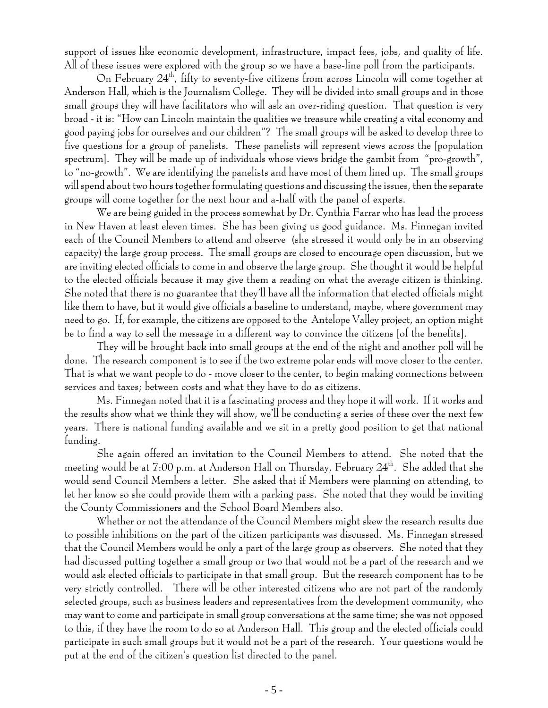support of issues like economic development, infrastructure, impact fees, jobs, and quality of life. All of these issues were explored with the group so we have a base-line poll from the participants.

On February  $24<sup>th</sup>$ , fifty to seventy-five citizens from across Lincoln will come together at Anderson Hall, which is the Journalism College. They will be divided into small groups and in those small groups they will have facilitators who will ask an over-riding question. That question is very broad - it is: "How can Lincoln maintain the qualities we treasure while creating a vital economy and good paying jobs for ourselves and our children"? The small groups will be asked to develop three to five questions for a group of panelists. These panelists will represent views across the [population spectrum]. They will be made up of individuals whose views bridge the gambit from "pro-growth", to "no-growth". We are identifying the panelists and have most of them lined up. The small groups will spend about two hours together formulating questions and discussing the issues, then the separate groups will come together for the next hour and a-half with the panel of experts.

We are being guided in the process somewhat by Dr. Cynthia Farrar who has lead the process in New Haven at least eleven times. She has been giving us good guidance. Ms. Finnegan invited each of the Council Members to attend and observe (she stressed it would only be in an observing capacity) the large group process. The small groups are closed to encourage open discussion, but we are inviting elected officials to come in and observe the large group. She thought it would be helpful to the elected officials because it may give them a reading on what the average citizen is thinking. She noted that there is no guarantee that they'll have all the information that elected officials might like them to have, but it would give officials a baseline to understand, maybe, where government may need to go. If, for example, the citizens are opposed to the Antelope Valley project, an option might be to find a way to sell the message in a different way to convince the citizens [of the benefits].

They will be brought back into small groups at the end of the night and another poll will be done. The research component is to see if the two extreme polar ends will move closer to the center. That is what we want people to do - move closer to the center, to begin making connections between services and taxes; between costs and what they have to do as citizens.

Ms. Finnegan noted that it is a fascinating process and they hope it will work. If it works and the results show what we think they will show, we'll be conducting a series of these over the next few years. There is national funding available and we sit in a pretty good position to get that national funding.

She again offered an invitation to the Council Members to attend. She noted that the meeting would be at  $7:00$  p.m. at Anderson Hall on Thursday, February  $24^{\text{th}}$ . She added that she would send Council Members a letter. She asked that if Members were planning on attending, to let her know so she could provide them with a parking pass. She noted that they would be inviting the County Commissioners and the School Board Members also.

Whether or not the attendance of the Council Members might skew the research results due to possible inhibitions on the part of the citizen participants was discussed. Ms. Finnegan stressed that the Council Members would be only a part of the large group as observers. She noted that they had discussed putting together a small group or two that would not be a part of the research and we would ask elected officials to participate in that small group. But the research component has to be very strictly controlled. There will be other interested citizens who are not part of the randomly selected groups, such as business leaders and representatives from the development community, who may want to come and participate in small group conversations at the same time; she was not opposed to this, if they have the room to do so at Anderson Hall. This group and the elected officials could participate in such small groups but it would not be a part of the research. Your questions would be put at the end of the citizen's question list directed to the panel.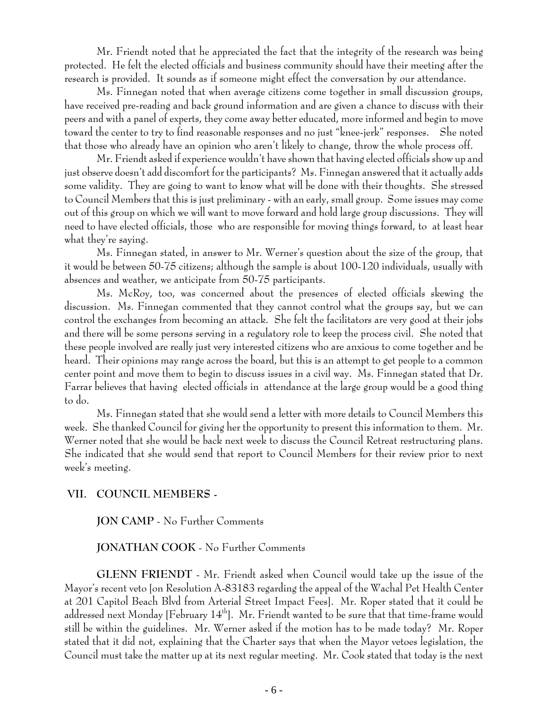Mr. Friendt noted that he appreciated the fact that the integrity of the research was being protected. He felt the elected officials and business community should have their meeting after the research is provided. It sounds as if someone might effect the conversation by our attendance.

Ms. Finnegan noted that when average citizens come together in small discussion groups, have received pre-reading and back ground information and are given a chance to discuss with their peers and with a panel of experts, they come away better educated, more informed and begin to move toward the center to try to find reasonable responses and no just "knee-jerk" responses. She noted that those who already have an opinion who aren't likely to change, throw the whole process off.

Mr. Friendt asked if experience wouldn't have shown that having elected officials show up and just observe doesn't add discomfort for the participants? Ms. Finnegan answered that it actually adds some validity. They are going to want to know what will be done with their thoughts. She stressed to Council Members that this is just preliminary - with an early, small group. Some issues may come out of this group on which we will want to move forward and hold large group discussions. They will need to have elected officials, those who are responsible for moving things forward, to at least hear what they're saying.

Ms. Finnegan stated, in answer to Mr. Werner's question about the size of the group, that it would be between 50-75 citizens; although the sample is about 100-120 individuals, usually with absences and weather, we anticipate from 50-75 participants.

Ms. McRoy, too, was concerned about the presences of elected officials skewing the discussion. Ms. Finnegan commented that they cannot control what the groups say, but we can control the exchanges from becoming an attack. She felt the facilitators are very good at their jobs and there will be some persons serving in a regulatory role to keep the process civil. She noted that these people involved are really just very interested citizens who are anxious to come together and be heard. Their opinions may range across the board, but this is an attempt to get people to a common center point and move them to begin to discuss issues in a civil way. Ms. Finnegan stated that Dr. Farrar believes that having elected officials in attendance at the large group would be a good thing to do.

Ms. Finnegan stated that she would send a letter with more details to Council Members this week. She thanked Council for giving her the opportunity to present this information to them. Mr. Werner noted that she would be back next week to discuss the Council Retreat restructuring plans. She indicated that she would send that report to Council Members for their review prior to next week's meeting.

## **VII. COUNCIL MEMBERS -**

**JON CAMP** - No Further Comments

#### **JONATHAN COOK** - No Further Comments

**GLENN FRIENDT** - Mr. Friendt asked when Council would take up the issue of the Mayor's recent veto [on Resolution A-83183 regarding the appeal of the Wachal Pet Health Center at 201 Capitol Beach Blvd from Arterial Street Impact Fees]. Mr. Roper stated that it could be addressed next Monday [February 14<sup>th</sup>]. Mr. Friendt wanted to be sure that that time-frame would still be within the guidelines. Mr. Werner asked if the motion has to be made today? Mr. Roper stated that it did not, explaining that the Charter says that when the Mayor vetoes legislation, the Council must take the matter up at its next regular meeting. Mr. Cook stated that today is the next